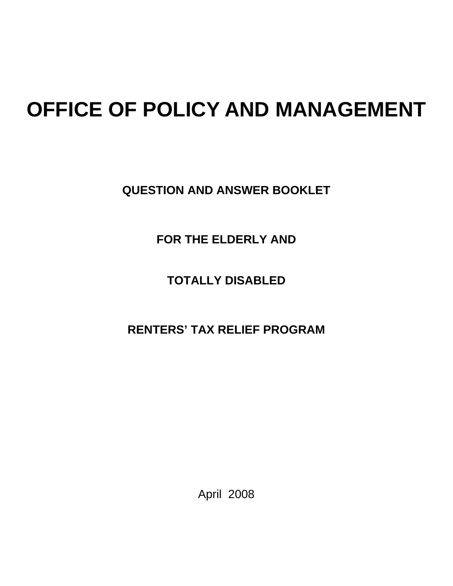# **OFFICE OF POLICY AND MANAGEMENT**

**QUESTION AND ANSWER BOOKLET** 

**FOR THE ELDERLY AND** 

**TOTALLY DISABLED** 

**RENTERS' TAX RELIEF PROGRAM** 

April 2008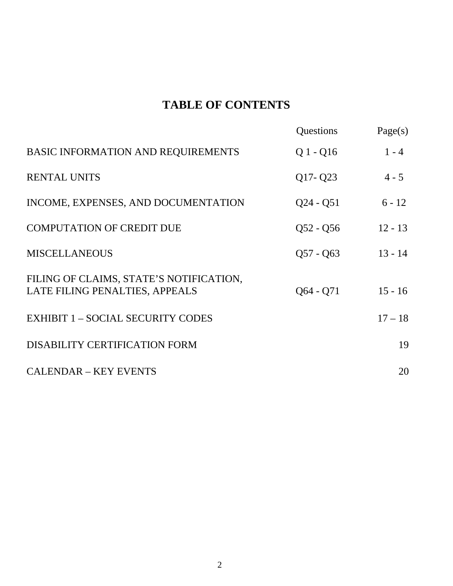### 1B**TABLE OF CONTENTS**

|                                                                           | Questions   | Page(s)   |
|---------------------------------------------------------------------------|-------------|-----------|
| BASIC INFORMATION AND REQUIREMENTS                                        | $Q1 - Q16$  | $1 - 4$   |
| <b>RENTAL UNITS</b>                                                       | $Q17 - Q23$ | $4 - 5$   |
| INCOME, EXPENSES, AND DOCUMENTATION                                       | $Q24 - Q51$ | $6 - 12$  |
| <b>COMPUTATION OF CREDIT DUE</b>                                          | $Q52 - Q56$ | $12 - 13$ |
| <b>MISCELLANEOUS</b>                                                      | $Q57 - Q63$ | $13 - 14$ |
| FILING OF CLAIMS, STATE'S NOTIFICATION,<br>LATE FILING PENALTIES, APPEALS | $Q64 - Q71$ | $15 - 16$ |
| <b>EXHIBIT 1 - SOCIAL SECURITY CODES</b>                                  |             | $17 - 18$ |
| DISABILITY CERTIFICATION FORM                                             |             | 19        |
| <b>CALENDAR - KEY EVENTS</b>                                              |             | 20        |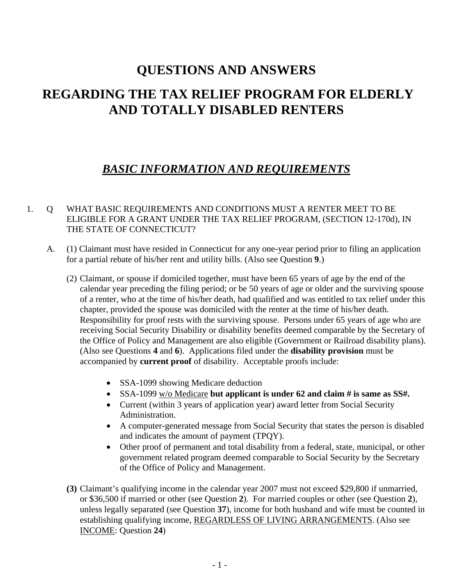### 7B**QUESTIONS AND ANSWERS**

### 8B **REGARDING THE TAX RELIEF PROGRAM FOR ELDERLY AND TOTALLY DISABLED RENTERS**

### **BASIC INFORMATION AND REQUIREMENTS**

#### 1. Q WHAT BASIC REQUIREMENTS AND CONDITIONS MUST A RENTER MEET TO BE ELIGIBLE FOR A GRANT UNDER THE TAX RELIEF PROGRAM, (SECTION 12-170d), IN THE STATE OF CONNECTICUT?

- A. (1) Claimant must have resided in Connecticut for any one-year period prior to filing an application for a partial rebate of his/her rent and utility bills. (Also see Question **9**.)
	- (2) Claimant, or spouse if domiciled together, must have been 65 years of age by the end of the calendar year preceding the filing period; or be 50 years of age or older and the surviving spouse of a renter, who at the time of his/her death, had qualified and was entitled to tax relief under this chapter, provided the spouse was domiciled with the renter at the time of his/her death. Responsibility for proof rests with the surviving spouse. Persons under 65 years of age who are receiving Social Security Disability or disability benefits deemed comparable by the Secretary of the Office of Policy and Management are also eligible (Government or Railroad disability plans). (Also see Questions **4** and **6**). Applications filed under the **disability provision** must be accompanied by **current proof** of disability. Acceptable proofs include:
		- SSA-1099 showing Medicare deduction
		- SSA-1099  $\frac{W}{0}$  Medicare but applicant is under 62 and claim # is same as SS#.
		- Current (within 3 years of application year) award letter from Social Security Administration.
		- A computer-generated message from Social Security that states the person is disabled and indicates the amount of payment (TPQY).
		- Other proof of permanent and total disability from a federal, state, municipal, or other government related program deemed comparable to Social Security by the Secretary of the Office of Policy and Management.
	- **(3)** Claimant's qualifying income in the calendar year 2007 must not exceed \$29,800 if unmarried, or \$36,500 if married or other (see Question **2**). For married couples or other (see Question **2**), unless legally separated (see Question **37**), income for both husband and wife must be counted in establishing qualifying income, REGARDLESS OF LIVING ARRANGEMENTS. (Also see **INCOME:** Question 24)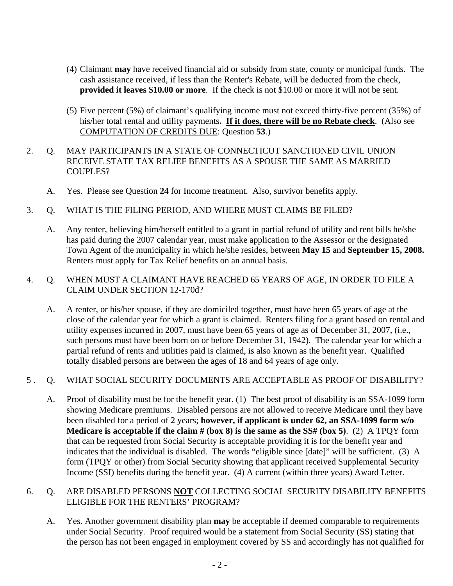- (4) Claimant **may** have received financial aid or subsidy from state, county or municipal funds. The cash assistance received, if less than the Renter's Rebate, will be deducted from the check, **provided it leaves \$10.00 or more**. If the check is not \$10.00 or more it will not be sent.
- (5) Five percent (5%) of claimant's qualifying income must not exceed thirty-five percent (35%) of his/her total rental and utility payments. **If it does, there will be no Rebate check**. (Also see COMPUTATION OF CREDITS DUE: Question 53.)
- 2. Q. MAY PARTICIPANTS IN A STATE OF CONNECTICUT SANCTIONED CIVIL UNION RECEIVE STATE TAX RELIEF BENEFITS AS A SPOUSE THE SAME AS MARRIED COUPLES?
	- A. Yes. Please see Question **24** for Income treatment. Also, survivor benefits apply.
- 3. Q. WHAT IS THE FILING PERIOD, AND WHERE MUST CLAIMS BE FILED?
	- A. Any renter, believing him/herself entitled to a grant in partial refund of utility and rent bills he/she has paid during the 2007 calendar year, must make application to the Assessor or the designated Town Agent of the municipality in which he/she resides, between **May 15** and **September 15, 2008.** Renters must apply for Tax Relief benefits on an annual basis.

#### 4. Q. WHEN MUST A CLAIMANT HAVE REACHED 65 YEARS OF AGE, IN ORDER TO FILE A CLAIM UNDER SECTION 12-170d?

A. A renter, or his/her spouse, if they are domiciled together, must have been 65 years of age at the close of the calendar year for which a grant is claimed. Renters filing for a grant based on rental and utility expenses incurred in 2007, must have been 65 years of age as of December 31, 2007, (i.e., such persons must have been born on or before December 31, 1942). The calendar year for which a partial refund of rents and utilities paid is claimed, is also known as the benefit year. Qualified totally disabled persons are between the ages of 18 and 64 years of age only.

#### 5 . Q. WHAT SOCIAL SECURITY DOCUMENTS ARE ACCEPTABLE AS PROOF OF DISABILITY?

A. Proof of disability must be for the benefit year. (1) The best proof of disability is an SSA-1099 form showing Medicare premiums. Disabled persons are not allowed to receive Medicare until they have been disabled for a period of 2 years; **however, if applicant is under 62, an SSA-1099 form w/o Medicare is acceptable if the claim # (box 8) is the same as the SS# (box 5)**. (2) A TPQY form that can be requested from Social Security is acceptable providing it is for the benefit year and indicates that the individual is disabled. The words "eligible since [date]" will be sufficient. (3) A form (TPQY or other) from Social Security showing that applicant received Supplemental Security Income (SSI) benefits during the benefit year. (4) A current (within three years) Award Letter.

#### 6. Q. ARE DISABLED PERSONS **NOT** COLLECTING SOCIAL SECURITY DISABILITY BENEFITS ELIGIBLE FOR THE RENTERS' PROGRAM?

A. Yes. Another government disability plan **may** be acceptable if deemed comparable to requirements under Social Security. Proof required would be a statement from Social Security (SS) stating that the person has not been engaged in employment covered by SS and accordingly has not qualified for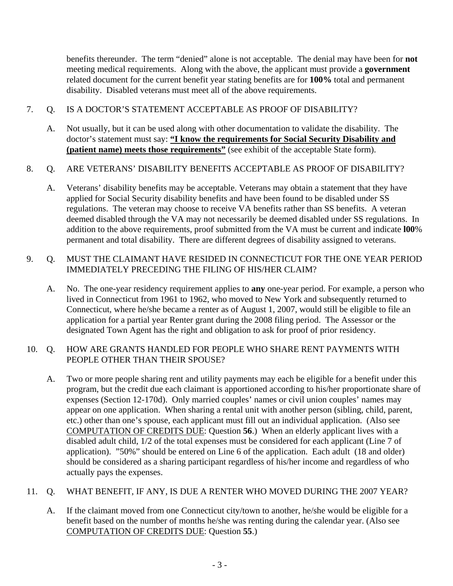benefits thereunder. The term "denied" alone is not acceptable. The denial may have been for **not** meeting medical requirements. Along with the above, the applicant must provide a **government** related document for the current benefit year stating benefits are for **100%** total and permanent disability. Disabled veterans must meet all of the above requirements.

#### 7. Q. IS A DOCTOR'S STATEMENT ACCEPTABLE AS PROOF OF DISABILITY?

A. Not usually, but it can be used along with other documentation to validate the disability. The doctor's statement must say: "I know the requirements for Social Security Disability and **(patient name) meets those requirements"** (see exhibit of the acceptable State form).

#### 8. Q. ARE VETERANS' DISABILITY BENEFITS ACCEPTABLE AS PROOF OF DISABILITY?

A. Veterans' disability benefits may be acceptable. Veterans may obtain a statement that they have applied for Social Security disability benefits and have been found to be disabled under SS regulations. The veteran may choose to receive VA benefits rather than SS benefits. A veteran deemed disabled through the VA may not necessarily be deemed disabled under SS regulations. In addition to the above requirements, proof submitted from the VA must be current and indicate **l00**% permanent and total disability. There are different degrees of disability assigned to veterans.

#### 9. Q. MUST THE CLAIMANT HAVE RESIDED IN CONNECTICUT FOR THE ONE YEAR PERIOD IMMEDIATELY PRECEDING THE FILING OF HIS/HER CLAIM?

A. No. The one-year residency requirement applies to **any** one-year period. For example, a person who lived in Connecticut from 1961 to 1962, who moved to New York and subsequently returned to Connecticut, where he/she became a renter as of August 1, 2007, would still be eligible to file an application for a partial year Renter grant during the 2008 filing period. The Assessor or the designated Town Agent has the right and obligation to ask for proof of prior residency.

#### 10. Q. HOW ARE GRANTS HANDLED FOR PEOPLE WHO SHARE RENT PAYMENTS WITH PEOPLE OTHER THAN THEIR SPOUSE?

A. Two or more people sharing rent and utility payments may each be eligible for a benefit under this program, but the credit due each claimant is apportioned according to his/her proportionate share of expenses (Section 12-170d). Only married couples' names or civil union couples' names may appear on one application. When sharing a rental unit with another person (sibling, child, parent, etc.) other than one's spouse, each applicant must fill out an individual application. (Also see COMPUTATION OF CREDITS DUE: Question 56.) When an elderly applicant lives with a disabled adult child, 1/2 of the total expenses must be considered for each applicant (Line 7 of application). "50%" should be entered on Line 6 of the application. Each adult (18 and older) should be considered as a sharing participant regardless of his/her income and regardless of who actually pays the expenses.

#### 11. Q. WHAT BENEFIT, IF ANY, IS DUE A RENTER WHO MOVED DURING THE 2007 YEAR?

A. If the claimant moved from one Connecticut city/town to another, he/she would be eligible for a benefit based on the number of months he/she was renting during the calendar year. (Also see COMPUTATION OF CREDITS DUE: Question 55.)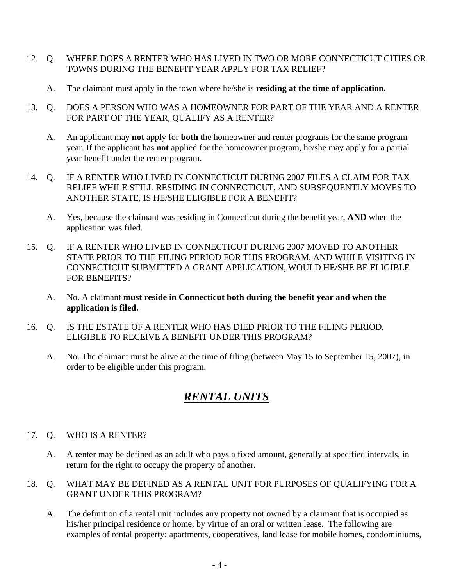- 12. Q. WHERE DOES A RENTER WHO HAS LIVED IN TWO OR MORE CONNECTICUT CITIES OR TOWNS DURING THE BENEFIT YEAR APPLY FOR TAX RELIEF?
	- A. The claimant must apply in the town where he/she is **residing at the time of application.**
- 13. Q. DOES A PERSON WHO WAS A HOMEOWNER FOR PART OF THE YEAR AND A RENTER FOR PART OF THE YEAR, QUALIFY AS A RENTER?
	- A. An applicant may **not** apply for **both** the homeowner and renter programs for the same program year. If the applicant has **not** applied for the homeowner program, he/she may apply for a partial year benefit under the renter program.
- 14. Q. IF A RENTER WHO LIVED IN CONNECTICUT DURING 2007 FILES A CLAIM FOR TAX RELIEF WHILE STILL RESIDING IN CONNECTICUT, AND SUBSEQUENTLY MOVES TO ANOTHER STATE, IS HE/SHE ELIGIBLE FOR A BENEFIT?
	- A. Yes, because the claimant was residing in Connecticut during the benefit year, **AND** when the application was filed.
- 15. Q. IF A RENTER WHO LIVED IN CONNECTICUT DURING 2007 MOVED TO ANOTHER STATE PRIOR TO THE FILING PERIOD FOR THIS PROGRAM, AND WHILE VISITING IN CONNECTICUT SUBMITTED A GRANT APPLICATION, WOULD HE/SHE BE ELIGIBLE FOR BENEFITS?
	- A. No. A claimant **must reside in Connecticut both during the benefit year and when the application is filed.**
- 16. Q. IS THE ESTATE OF A RENTER WHO HAS DIED PRIOR TO THE FILING PERIOD, ELIGIBLE TO RECEIVE A BENEFIT UNDER THIS PROGRAM?
	- A. No. The claimant must be alive at the time of filing (between May 15 to September 15, 2007), in order to be eligible under this program.

### **RENTAL UNITS**

- 17. Q. WHO IS A RENTER?
	- A. A renter may be defined as an adult who pays a fixed amount, generally at specified intervals, in return for the right to occupy the property of another.
- 18. Q. WHAT MAY BE DEFINED AS A RENTAL UNIT FOR PURPOSES OF QUALIFYING FOR A GRANT UNDER THIS PROGRAM?
	- A. The definition of a rental unit includes any property not owned by a claimant that is occupied as his/her principal residence or home, by virtue of an oral or written lease. The following are examples of rental property: apartments, cooperatives, land lease for mobile homes, condominiums,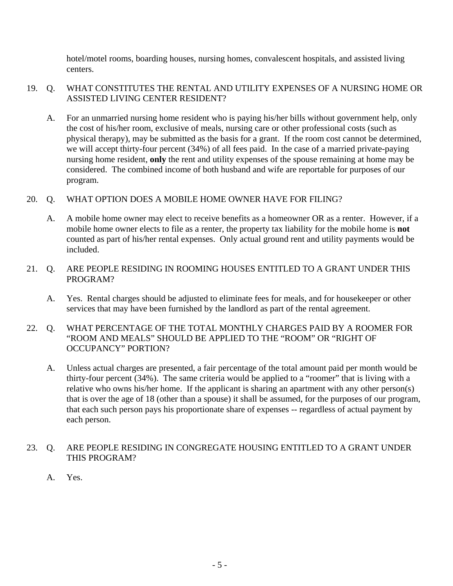hotel/motel rooms, boarding houses, nursing homes, convalescent hospitals, and assisted living centers.

#### 19. Q. WHAT CONSTITUTES THE RENTAL AND UTILITY EXPENSES OF A NURSING HOME OR ASSISTED LIVING CENTER RESIDENT?

A. For an unmarried nursing home resident who is paying his/her bills without government help, only the cost of his/her room, exclusive of meals, nursing care or other professional costs (such as physical therapy), may be submitted as the basis for a grant. If the room cost cannot be determined, we will accept thirty-four percent (34%) of all fees paid. In the case of a married private-paying nursing home resident, **only** the rent and utility expenses of the spouse remaining at home may be considered. The combined income of both husband and wife are reportable for purposes of our program.

#### 20. Q. WHAT OPTION DOES A MOBILE HOME OWNER HAVE FOR FILING?

- A. A mobile home owner may elect to receive benefits as a homeowner OR as a renter. However, if a mobile home owner elects to file as a renter, the property tax liability for the mobile home is **not** counted as part of his/her rental expenses. Only actual ground rent and utility payments would be included.
- 21. Q. ARE PEOPLE RESIDING IN ROOMING HOUSES ENTITLED TO A GRANT UNDER THIS PROGRAM?
	- A. Yes. Rental charges should be adjusted to eliminate fees for meals, and for housekeeper or other services that may have been furnished by the landlord as part of the rental agreement.
- 22. Q. WHAT PERCENTAGE OF THE TOTAL MONTHLY CHARGES PAID BY A ROOMER FOR "ROOM AND MEALS" SHOULD BE APPLIED TO THE "ROOM" OR "RIGHT OF OCCUPANCY" PORTION?
	- A. Unless actual charges are presented, a fair percentage of the total amount paid per month would be thirty-four percent (34%). The same criteria would be applied to a "roomer" that is living with a relative who owns his/her home. If the applicant is sharing an apartment with any other person(s) that is over the age of 18 (other than a spouse) it shall be assumed, for the purposes of our program, that each such person pays his proportionate share of expenses -- regardless of actual payment by each person.

#### 23. Q. ARE PEOPLE RESIDING IN CONGREGATE HOUSING ENTITLED TO A GRANT UNDER THIS PROGRAM?

A. Yes.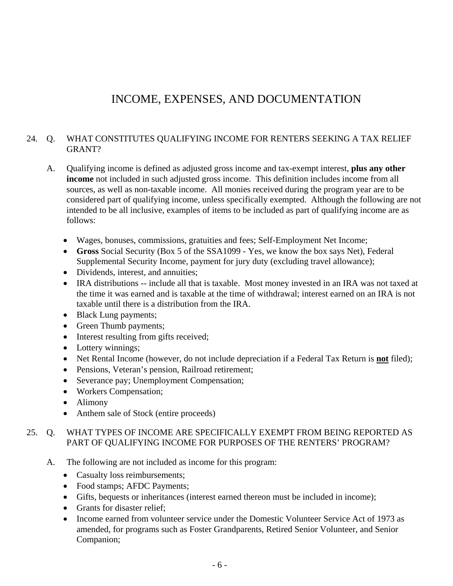### INCOME, EXPENSES, AND DOCUMENTATION

#### 24. Q. WHAT CONSTITUTES QUALIFYING INCOME FOR RENTERS SEEKING A TAX RELIEF GRANT?

- A. Qualifying income is defined as adjusted gross income and tax-exempt interest, **plus any other income** not included in such adjusted gross income. This definition includes income from all sources, as well as non-taxable income. All monies received during the program year are to be considered part of qualifying income, unless specifically exempted. Although the following are not intended to be all inclusive, examples of items to be included as part of qualifying income are as follows:
	- Wages, bonuses, commissions, gratuities and fees; Self-Employment Net Income;
	- **Gross** Social Security (Box 5 of the SSA1099 Yes, we know the box says Net), Federal Supplemental Security Income, payment for jury duty (excluding travel allowance);
	- Dividends, interest, and annuities;
	- IRA distributions -- include all that is taxable. Most money invested in an IRA was not taxed at the time it was earned and is taxable at the time of withdrawal; interest earned on an IRA is not taxable until there is a distribution from the IRA.
	- Black Lung payments;
	- Green Thumb payments;
	- Interest resulting from gifts received;
	- Lottery winnings;
	- Net Rental Income (however, do not include depreciation if a Federal Tax Return is **not** filed);
	- Pensions, Veteran's pension, Railroad retirement;
	- Severance pay; Unemployment Compensation;
	- Workers Compensation;
	- Alimony
	- Anthem sale of Stock (entire proceeds)

#### 25. Q. WHAT TYPES OF INCOME ARE SPECIFICALLY EXEMPT FROM BEING REPORTED AS PART OF QUALIFYING INCOME FOR PURPOSES OF THE RENTERS' PROGRAM?

- A. The following are not included as income for this program:
	- Casualty loss reimbursements;
	- Food stamps; AFDC Payments;
	- Gifts, bequests or inheritances (interest earned thereon must be included in income);
	- Grants for disaster relief;
	- Income earned from volunteer service under the Domestic Volunteer Service Act of 1973 as amended, for programs such as Foster Grandparents, Retired Senior Volunteer, and Senior Companion;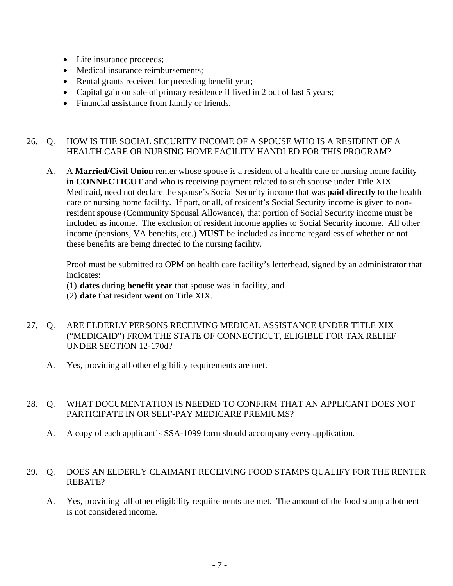- Life insurance proceeds;
- Medical insurance reimbursements:
- Rental grants received for preceding benefit year;
- Capital gain on sale of primary residence if lived in 2 out of last 5 years;
- Financial assistance from family or friends.

#### 26. Q. HOW IS THE SOCIAL SECURITY INCOME OF A SPOUSE WHO IS A RESIDENT OF A HEALTH CARE OR NURSING HOME FACILITY HANDLED FOR THIS PROGRAM?

A. A **Married/Civil Union** renter whose spouse is a resident of a health care or nursing home facility **in CONNECTICUT** and who is receiving payment related to such spouse under Title XIX Medicaid, need not declare the spouse's Social Security income that was **paid directly** to the health care or nursing home facility. If part, or all, of resident's Social Security income is given to nonresident spouse (Community Spousal Allowance), that portion of Social Security income must be included as income. The exclusion of resident income applies to Social Security income. All other income (pensions, VA benefits, etc.) **MUST** be included as income regardless of whether or not these benefits are being directed to the nursing facility.

Proof must be submitted to OPM on health care facility's letterhead, signed by an administrator that indicates:

- (1) **dates** during **benefit year** that spouse was in facility, and
- (2) **date** that resident **went** on Title XIX.
- 27. Q. ARE ELDERLY PERSONS RECEIVING MEDICAL ASSISTANCE UNDER TITLE XIX ("MEDICAID") FROM THE STATE OF CONNECTICUT, ELIGIBLE FOR TAX RELIEF UNDER SECTION 12-170d?
	- A. Yes, providing all other eligibility requirements are met.

#### 28. Q. WHAT DOCUMENTATION IS NEEDED TO CONFIRM THAT AN APPLICANT DOES NOT PARTICIPATE IN OR SELF-PAY MEDICARE PREMIUMS?

A. A copy of each applicant's SSA-1099 form should accompany every application.

#### 29. Q. DOES AN ELDERLY CLAIMANT RECEIVING FOOD STAMPS QUALIFY FOR THE RENTER REBATE?

A. Yes, providing all other eligibility requiirements are met. The amount of the food stamp allotment is not considered income.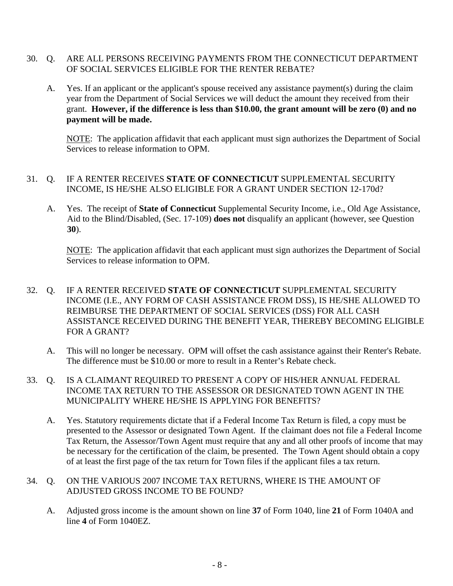- 30. Q. ARE ALL PERSONS RECEIVING PAYMENTS FROM THE CONNECTICUT DEPARTMENT OF SOCIAL SERVICES ELIGIBLE FOR THE RENTER REBATE?
	- A. Yes. If an applicant or the applicant's spouse received any assistance payment(s) during the claim year from the Department of Social Services we will deduct the amount they received from their grant. **However, if the difference is less than \$10.00, the grant amount will be zero (0) and no payment will be made.**

NOTE: The application affidavit that each applicant must sign authorizes the Department of Social Services to release information to OPM.

#### 31. Q. IF A RENTER RECEIVES **STATE OF CONNECTICUT** SUPPLEMENTAL SECURITY INCOME, IS HE/SHE ALSO ELIGIBLE FOR A GRANT UNDER SECTION 12-170d?

A. Yes. The receipt of **State of Connecticut** Supplemental Security Income, i.e., Old Age Assistance, Aid to the Blind/Disabled, (Sec. 17-109) **does not** disqualify an applicant (however, see Question **30**).

NOTE: The application affidavit that each applicant must sign authorizes the Department of Social Services to release information to OPM.

#### 32. Q. IF A RENTER RECEIVED **STATE OF CONNECTICUT** SUPPLEMENTAL SECURITY INCOME (I.E., ANY FORM OF CASH ASSISTANCE FROM DSS), IS HE/SHE ALLOWED TO REIMBURSE THE DEPARTMENT OF SOCIAL SERVICES (DSS) FOR ALL CASH ASSISTANCE RECEIVED DURING THE BENEFIT YEAR, THEREBY BECOMING ELIGIBLE FOR A GRANT?

- A. This will no longer be necessary. OPM will offset the cash assistance against their Renter's Rebate. The difference must be \$10.00 or more to result in a Renter's Rebate check.
- 33. Q. IS A CLAIMANT REQUIRED TO PRESENT A COPY OF HIS/HER ANNUAL FEDERAL INCOME TAX RETURN TO THE ASSESSOR OR DESIGNATED TOWN AGENT IN THE MUNICIPALITY WHERE HE/SHE IS APPLYING FOR BENEFITS?
	- A. Yes. Statutory requirements dictate that if a Federal Income Tax Return is filed, a copy must be presented to the Assessor or designated Town Agent. If the claimant does not file a Federal Income Tax Return, the Assessor/Town Agent must require that any and all other proofs of income that may be necessary for the certification of the claim, be presented. The Town Agent should obtain a copy of at least the first page of the tax return for Town files if the applicant files a tax return.

#### 34. Q. ON THE VARIOUS 2007 INCOME TAX RETURNS, WHERE IS THE AMOUNT OF ADJUSTED GROSS INCOME TO BE FOUND?

A. Adjusted gross income is the amount shown on line **37** of Form 1040, line **21** of Form 1040A and line **4** of Form 1040EZ.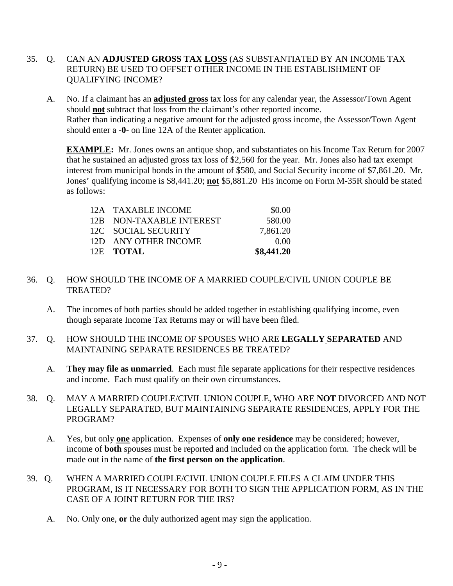- 35. Q. CAN AN **ADJUSTED GROSS TAX LOSS** (AS SUBSTANTIATED BY AN INCOME TAX RETURN) BE USED TO OFFSET OTHER INCOME IN THE ESTABLISHMENT OF QUALIFYING INCOME?
	- A. No. If a claimant has an **adjusted gross** tax loss for any calendar year, the Assessor/Town Agent should **not** subtract that loss from the claimant's other reported income. Rather than indicating a negative amount for the adjusted gross income, the Assessor/Town Agent should enter a **-0-** on line 12A of the Renter application.

**EXAMPLE:** Mr. Jones owns an antique shop, and substantiates on his Income Tax Return for 2007 that he sustained an adjusted gross tax loss of \$2,560 for the year. Mr. Jones also had tax exempt interest from municipal bonds in the amount of \$580, and Social Security income of \$7,861.20. Mr. Jones' qualifying income is \$8,441.20; not \$5,881.20 His income on Form M-35R should be stated as follows:

| 12A TAXABLE INCOME<br>12B NON-TAXABLE INTEREST | \$0.00<br>580.00 |
|------------------------------------------------|------------------|
|                                                |                  |
| 12C SOCIAL SECURITY                            | 7.861.20         |
| 12D ANY OTHER INCOME                           | 0.00             |
| 12E TOTAL                                      | \$8,441.20       |

#### 36. Q. HOW SHOULD THE INCOME OF A MARRIED COUPLE/CIVIL UNION COUPLE BE TREATED?

- A. The incomes of both parties should be added together in establishing qualifying income, even though separate Income Tax Returns may or will have been filed.
- 37. Q. HOW SHOULD THE INCOME OF SPOUSES WHO ARE **LEGALLY SEPARATED** AND MAINTAINING SEPARATE RESIDENCES BE TREATED?
	- A. **They may file as unmarried**. Each must file separate applications for their respective residences and income. Each must qualify on their own circumstances.
- 38. Q. MAY A MARRIED COUPLE/CIVIL UNION COUPLE, WHO ARE **NOT** DIVORCED AND NOT LEGALLY SEPARATED, BUT MAINTAINING SEPARATE RESIDENCES, APPLY FOR THE PROGRAM?
	- A. Yes, but only **<u>one</u>** application. Expenses of **only one residence** may be considered; however, income of **both** spouses must be reported and included on the application form. The check will be made out in the name of **the first person on the application**.
- 39. Q. WHEN A MARRIED COUPLE/CIVIL UNION COUPLE FILES A CLAIM UNDER THIS PROGRAM, IS IT NECESSARY FOR BOTH TO SIGN THE APPLICATION FORM, AS IN THE CASE OF A JOINT RETURN FOR THE IRS?
	- A. No. Only one, **or** the duly authorized agent may sign the application.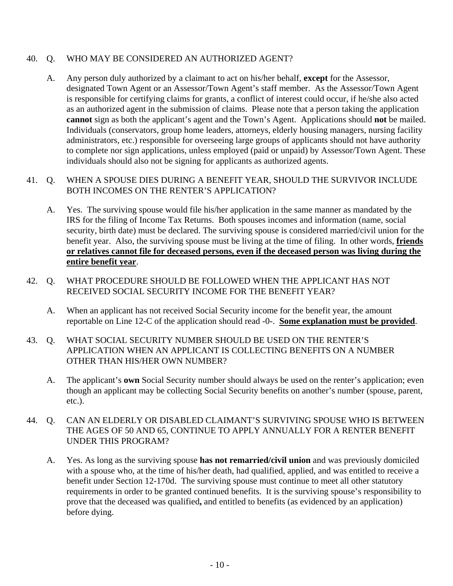#### 40. Q. WHO MAY BE CONSIDERED AN AUTHORIZED AGENT?

A. Any person duly authorized by a claimant to act on his/her behalf, **except** for the Assessor, designated Town Agent or an Assessor/Town Agent's staff member. As the Assessor/Town Agent is responsible for certifying claims for grants, a conflict of interest could occur, if he/she also acted as an authorized agent in the submission of claims. Please note that a person taking the application **cannot** sign as both the applicant's agent and the Town's Agent. Applications should **not** be mailed. Individuals (conservators, group home leaders, attorneys, elderly housing managers, nursing facility administrators, etc.) responsible for overseeing large groups of applicants should not have authority to complete nor sign applications, unless employed (paid or unpaid) by Assessor/Town Agent. These individuals should also not be signing for applicants as authorized agents.

#### 41. Q. WHEN A SPOUSE DIES DURING A BENEFIT YEAR, SHOULD THE SURVIVOR INCLUDE BOTH INCOMES ON THE RENTER'S APPLICATION?

- A. Yes. The surviving spouse would file his/her application in the same manner as mandated by the IRS for the filing of Income Tax Returns. Both spouses incomes and information (name, social security, birth date) must be declared. The surviving spouse is considered married/civil union for the benefit year. Also, the surviving spouse must be living at the time of filing. In other words, **friends or relatives cannot file for deceased persons, even if the deceased person was living during the entire benefit year.**
- 42. Q. WHAT PROCEDURE SHOULD BE FOLLOWED WHEN THE APPLICANT HAS NOT RECEIVED SOCIAL SECURITY INCOME FOR THE BENEFIT YEAR?
	- A. When an applicant has not received Social Security income for the benefit year, the amount reportable on Line 12-C of the application should read -0-. Some explanation must be provided.
- 43. Q. WHAT SOCIAL SECURITY NUMBER SHOULD BE USED ON THE RENTER'S APPLICATION WHEN AN APPLICANT IS COLLECTING BENEFITS ON A NUMBER OTHER THAN HIS/HER OWN NUMBER?
	- A. The applicant's **own** Social Security number should always be used on the renter's application; even though an applicant may be collecting Social Security benefits on another's number (spouse, parent, etc.).
- 44. Q. CAN AN ELDERLY OR DISABLED CLAIMANT'S SURVIVING SPOUSE WHO IS BETWEEN THE AGES OF 50 AND 65, CONTINUE TO APPLY ANNUALLY FOR A RENTER BENEFIT UNDER THIS PROGRAM?
	- A. Yes. As long as the surviving spouse **has not remarried/civil union** and was previously domiciled with a spouse who, at the time of his/her death, had qualified, applied, and was entitled to receive a benefit under Section 12-170d. The surviving spouse must continue to meet all other statutory requirements in order to be granted continued benefits. It is the surviving spouse's responsibility to prove that the deceased was qualified**,** and entitled to benefits (as evidenced by an application) before dying.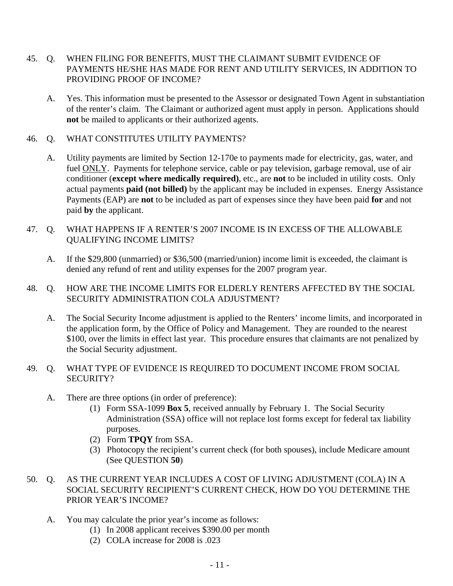- 45. Q. WHEN FILING FOR BENEFITS, MUST THE CLAIMANT SUBMIT EVIDENCE OF PAYMENTS HE/SHE HAS MADE FOR RENT AND UTILITY SERVICES, IN ADDITION TO PROVIDING PROOF OF INCOME?
	- A. Yes. This information must be presented to the Assessor or designated Town Agent in substantiation of the renter's claim. The Claimant or authorized agent must apply in person. Applications should **not** be mailed to applicants or their authorized agents.
- 46. Q. WHAT CONSTITUTES UTILITY PAYMENTS?
	- A. Utility payments are limited by Section 12-170e to payments made for electricity, gas, water, and fuel ONLY. Payments for telephone service, cable or pay television, garbage removal, use of air conditioner (**except where medically required)**, etc., are **not** to be included in utility costs. Only actual payments **paid (not billed)** by the applicant may be included in expenses. Energy Assistance Payments (EAP) are **not** to be included as part of expenses since they have been paid **for** and not paid **by** the applicant.
- 47. Q. WHAT HAPPENS IF A RENTER'S 2007 INCOME IS IN EXCESS OF THE ALLOWABLE QUALIFYING INCOME LIMITS?
	- A. If the \$29,800 (unmarried) or \$36,500 (married/union) income limit is exceeded, the claimant is denied any refund of rent and utility expenses for the 2007 program year.
- 48. Q. HOW ARE THE INCOME LIMITS FOR ELDERLY RENTERS AFFECTED BY THE SOCIAL SECURITY ADMINISTRATION COLA ADJUSTMENT?
	- A. The Social Security Income adjustment is applied to the Renters' income limits, and incorporated in the application form, by the Office of Policy and Management. They are rounded to the nearest \$100, over the limits in effect last year. This procedure ensures that claimants are not penalized by the Social Security adjustment.
- 49. Q. WHAT TYPE OF EVIDENCE IS REQUIRED TO DOCUMENT INCOME FROM SOCIAL SECURITY?
	- A. There are three options (in order of preference):
		- (1) Form SSA-1099 **Box 5**, received annually by February 1. The Social Security Administration (SSA) office will not replace lost forms except for federal tax liability purposes.
		- (2) Form **TPQY** from SSA.
		- (3) Photocopy the recipient's current check (for both spouses), include Medicare amount (See QUESTION **50**)
- 50. Q. AS THE CURRENT YEAR INCLUDES A COST OF LIVING ADJUSTMENT (COLA) IN A SOCIAL SECURITY RECIPIENT'S CURRENT CHECK, HOW DO YOU DETERMINE THE PRIOR YEAR'S INCOME?
	- A. You may calculate the prior year's income as follows:
		- (1) In 2008 applicant receives \$390.00 per month
		- (2) COLA increase for 2008 is .023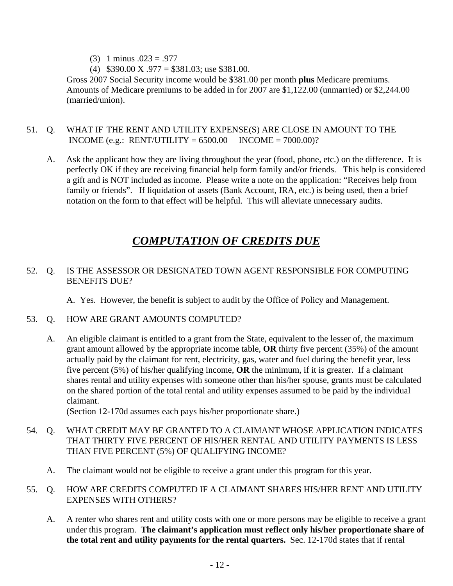- $(3)$  1 minus  $.023 = .977$
- (4)  $$390.00 \text{ X} \cdot .977 = $381.03$ ; use \$381.00.

Gross 2007 Social Security income would be \$381.00 per month **plus** Medicare premiums. Amounts of Medicare premiums to be added in for 2007 are \$1,122.00 (unmarried) or \$2,244.00 (married/union).

#### 51. Q. WHAT IF THE RENT AND UTILITY EXPENSE(S) ARE CLOSE IN AMOUNT TO THE INCOME (e.g.: RENT/UTILITY =  $6500.00$  INCOME =  $7000.00$ )?

A. Ask the applicant how they are living throughout the year (food, phone, etc.) on the difference. It is perfectly OK if they are receiving financial help form family and/or friends. This help is considered a gift and is NOT included as income. Please write a note on the application: "Receives help from family or friends". If liquidation of assets (Bank Account, IRA, etc.) is being used, then a brief notation on the form to that effect will be helpful. This will alleviate unnecessary audits.

### 13BU*COMPUTATION OF CREDITS DUE*

#### 52. Q. IS THE ASSESSOR OR DESIGNATED TOWN AGENT RESPONSIBLE FOR COMPUTING BENEFITS DUE?

A. Yes. However, the benefit is subject to audit by the Office of Policy and Management.

- 53. Q. HOW ARE GRANT AMOUNTS COMPUTED?
	- A. An eligible claimant is entitled to a grant from the State, equivalent to the lesser of, the maximum grant amount allowed by the appropriate income table, **OR** thirty five percent (35%) of the amount actually paid by the claimant for rent, electricity, gas, water and fuel during the benefit year, less five percent (5%) of his/her qualifying income, **OR** the minimum, if it is greater. If a claimant shares rental and utility expenses with someone other than his/her spouse, grants must be calculated on the shared portion of the total rental and utility expenses assumed to be paid by the individual claimant.

(Section 12-170d assumes each pays his/her proportionate share.)

- 54. Q. WHAT CREDIT MAY BE GRANTED TO A CLAIMANT WHOSE APPLICATION INDICATES THAT THIRTY FIVE PERCENT OF HIS/HER RENTAL AND UTILITY PAYMENTS IS LESS THAN FIVE PERCENT (5%) OF QUALIFYING INCOME?
	- A. The claimant would not be eligible to receive a grant under this program for this year.

#### 55. Q. HOW ARE CREDITS COMPUTED IF A CLAIMANT SHARES HIS/HER RENT AND UTILITY EXPENSES WITH OTHERS?

A. A renter who shares rent and utility costs with one or more persons may be eligible to receive a grant under this program. **The claimant's application must reflect only his/her proportionate share of the total rent and utility payments for the rental quarters.** Sec. 12-170d states that if rental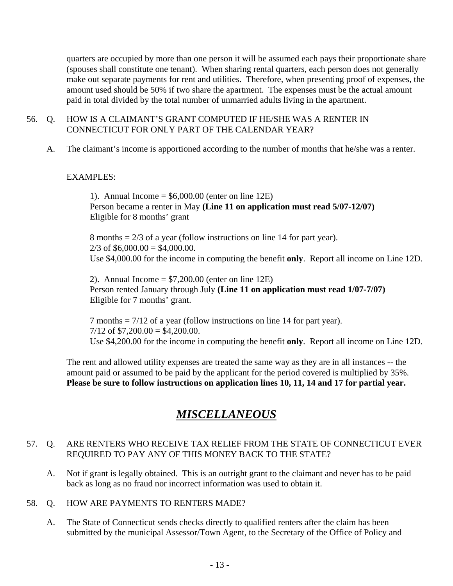quarters are occupied by more than one person it will be assumed each pays their proportionate share (spouses shall constitute one tenant). When sharing rental quarters, each person does not generally make out separate payments for rent and utilities. Therefore, when presenting proof of expenses, the amount used should be 50% if two share the apartment. The expenses must be the actual amount paid in total divided by the total number of unmarried adults living in the apartment.

#### 56. Q. HOW IS A CLAIMANT'S GRANT COMPUTED IF HE/SHE WAS A RENTER IN CONNECTICUT FOR ONLY PART OF THE CALENDAR YEAR?

A. The claimant's income is apportioned according to the number of months that he/she was a renter.

#### EXAMPLES:

1). Annual Income  $= $6,000.00$  (enter on line 12E) Person became a renter in May **(Line 11 on application must read 5/07-12/07)**  Eligible for 8 months' grant

8 months = 2/3 of a year (follow instructions on line 14 for part year).  $2/3$  of \$6,000.00 = \$4,000.00. Use \$4,000.00 for the income in computing the benefit **only**. Report all income on Line 12D.

2). Annual Income  $= $7,200.00$  (enter on line 12E) Person rented January through July **(Line 11 on application must read 1/07-7/07)** Eligible for 7 months' grant.

7 months = 7/12 of a year (follow instructions on line 14 for part year).  $7/12$  of \$7,200.00 = \$4,200.00. Use \$4,200.00 for the income in computing the benefit **only**. Report all income on Line 12D.

The rent and allowed utility expenses are treated the same way as they are in all instances -- the amount paid or assumed to be paid by the applicant for the period covered is multiplied by 35%. **Please be sure to follow instructions on application lines 10, 11, 14 and 17 for partial year.** 

### 14BU*MISCELLANEOUS*

#### 57. Q. ARE RENTERS WHO RECEIVE TAX RELIEF FROM THE STATE OF CONNECTICUT EVER REQUIRED TO PAY ANY OF THIS MONEY BACK TO THE STATE?

A. Not if grant is legally obtained. This is an outright grant to the claimant and never has to be paid back as long as no fraud nor incorrect information was used to obtain it.

#### 58. Q. HOW ARE PAYMENTS TO RENTERS MADE?

A. The State of Connecticut sends checks directly to qualified renters after the claim has been submitted by the municipal Assessor/Town Agent, to the Secretary of the Office of Policy and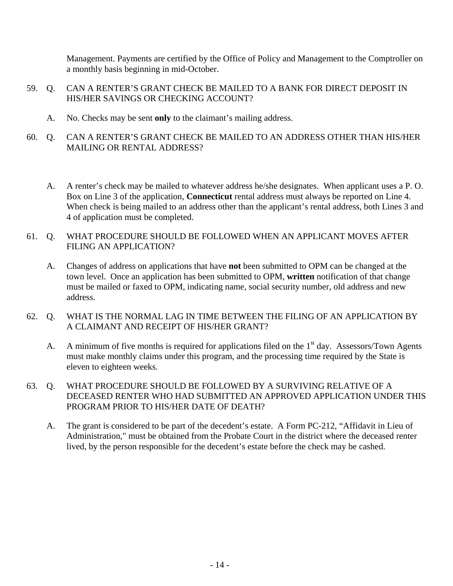Management. Payments are certified by the Office of Policy and Management to the Comptroller on a monthly basis beginning in mid-October.

- 59. Q. CAN A RENTER'S GRANT CHECK BE MAILED TO A BANK FOR DIRECT DEPOSIT IN HIS/HER SAVINGS OR CHECKING ACCOUNT?
	- A. No. Checks may be sent **only** to the claimant's mailing address.
- 60. Q. CAN A RENTER'S GRANT CHECK BE MAILED TO AN ADDRESS OTHER THAN HIS/HER MAILING OR RENTAL ADDRESS?
	- A. A renter's check may be mailed to whatever address he/she designates. When applicant uses a P. O. Box on Line 3 of the application, **Connecticut** rental address must always be reported on Line 4. When check is being mailed to an address other than the applicant's rental address, both Lines 3 and 4 of application must be completed.
- 61. Q. WHAT PROCEDURE SHOULD BE FOLLOWED WHEN AN APPLICANT MOVES AFTER FILING AN APPLICATION?
	- A. Changes of address on applications that have **not** been submitted to OPM can be changed at the town level. Once an application has been submitted to OPM, **written** notification of that change must be mailed or faxed to OPM, indicating name, social security number, old address and new address.
- 62. Q. WHAT IS THE NORMAL LAG IN TIME BETWEEN THE FILING OF AN APPLICATION BY A CLAIMANT AND RECEIPT OF HIS/HER GRANT?
	- A. A minimum of five months is required for applications filed on the  $1<sup>st</sup>$  day. Assessors/Town Agents must make monthly claims under this program, and the processing time required by the State is eleven to eighteen weeks.
- 63. Q. WHAT PROCEDURE SHOULD BE FOLLOWED BY A SURVIVING RELATIVE OF A DECEASED RENTER WHO HAD SUBMITTED AN APPROVED APPLICATION UNDER THIS PROGRAM PRIOR TO HIS/HER DATE OF DEATH?
	- A. The grant is considered to be part of the decedent's estate. A Form PC-212, "Affidavit in Lieu of Administration," must be obtained from the Probate Court in the district where the deceased renter lived, by the person responsible for the decedent's estate before the check may be cashed.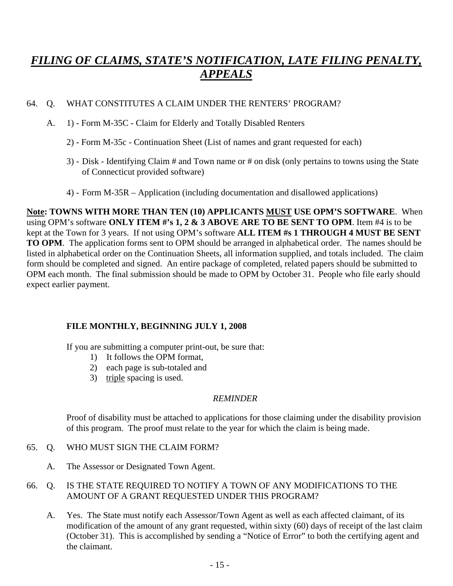### 15BU*FILING OF CLAIMS, STATE'S NOTIFICATION, LATE FILING PENALTY, APPEALS*

#### 64. Q. WHAT CONSTITUTES A CLAIM UNDER THE RENTERS' PROGRAM?

- A. 1) Form M-35C Claim for Elderly and Totally Disabled Renters
	- 2) Form M-35c Continuation Sheet (List of names and grant requested for each)
	- 3) Disk Identifying Claim # and Town name or # on disk (only pertains to towns using the State of Connecticut provided software)
	- 4) Form M-35R Application (including documentation and disallowed applications)

**Note: TOWNS WITH MORE THAN TEN (10) APPLICANTS MUST USE OPM'S SOFTWARE.** When using OPM's software **ONLY ITEM #'s 1, 2 & 3 ABOVE ARE TO BE SENT TO OPM**. Item #4 is to be kept at the Town for 3 years. If not using OPM's software **ALL ITEM #s 1 THROUGH 4 MUST BE SENT TO OPM**. The application forms sent to OPM should be arranged in alphabetical order. The names should be listed in alphabetical order on the Continuation Sheets, all information supplied, and totals included. The claim form should be completed and signed. An entire package of completed, related papers should be submitted to OPM each month. The final submission should be made to OPM by October 31. People who file early should expect earlier payment.

#### **FILE MONTHLY, BEGINNING JULY 1, 2008**

If you are submitting a computer print-out, be sure that:

- 1) It follows the OPM format,
- 2) each page is sub-totaled and
- 3) triple spacing is used.

#### *REMINDER*

 Proof of disability must be attached to applications for those claiming under the disability provision of this program. The proof must relate to the year for which the claim is being made.

#### 65. Q. WHO MUST SIGN THE CLAIM FORM?

A. The Assessor or Designated Town Agent.

#### 66. Q. IS THE STATE REQUIRED TO NOTIFY A TOWN OF ANY MODIFICATIONS TO THE AMOUNT OF A GRANT REQUESTED UNDER THIS PROGRAM?

A. Yes. The State must notify each Assessor/Town Agent as well as each affected claimant, of its modification of the amount of any grant requested, within sixty (60) days of receipt of the last claim (October 31). This is accomplished by sending a "Notice of Error" to both the certifying agent and the claimant.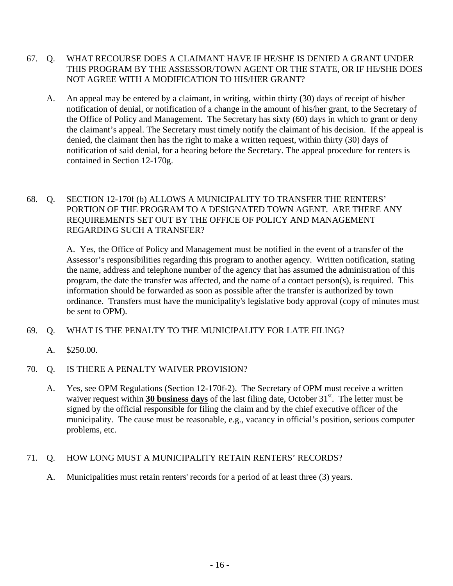- 67. Q. WHAT RECOURSE DOES A CLAIMANT HAVE IF HE/SHE IS DENIED A GRANT UNDER THIS PROGRAM BY THE ASSESSOR/TOWN AGENT OR THE STATE, OR IF HE/SHE DOES NOT AGREE WITH A MODIFICATION TO HIS/HER GRANT?
	- A. An appeal may be entered by a claimant, in writing, within thirty (30) days of receipt of his/her notification of denial, or notification of a change in the amount of his/her grant, to the Secretary of the Office of Policy and Management. The Secretary has sixty (60) days in which to grant or deny the claimant's appeal. The Secretary must timely notify the claimant of his decision. If the appeal is denied, the claimant then has the right to make a written request, within thirty (30) days of notification of said denial, for a hearing before the Secretary. The appeal procedure for renters is contained in Section 12-170g.
- 68. Q. SECTION 12-170f (b) ALLOWS A MUNICIPALITY TO TRANSFER THE RENTERS' PORTION OF THE PROGRAM TO A DESIGNATED TOWN AGENT. ARE THERE ANY REQUIREMENTS SET OUT BY THE OFFICE OF POLICY AND MANAGEMENT REGARDING SUCH A TRANSFER?

 A. Yes, the Office of Policy and Management must be notified in the event of a transfer of the Assessor's responsibilities regarding this program to another agency. Written notification, stating the name, address and telephone number of the agency that has assumed the administration of this program, the date the transfer was affected, and the name of a contact person(s), is required. This information should be forwarded as soon as possible after the transfer is authorized by town ordinance. Transfers must have the municipality's legislative body approval (copy of minutes must be sent to OPM).

- 69. Q. WHAT IS THE PENALTY TO THE MUNICIPALITY FOR LATE FILING?
	- A. \$250.00.
- 70. Q. IS THERE A PENALTY WAIVER PROVISION?
	- A. Yes, see OPM Regulations (Section 12-170f-2). The Secretary of OPM must receive a written waiver request within 30 business days of the last filing date, October 31<sup>st</sup>. The letter must be signed by the official responsible for filing the claim and by the chief executive officer of the municipality. The cause must be reasonable, e.g., vacancy in official's position, serious computer problems, etc.

#### 71. Q. HOW LONG MUST A MUNICIPALITY RETAIN RENTERS' RECORDS?

A. Municipalities must retain renters' records for a period of at least three (3) years.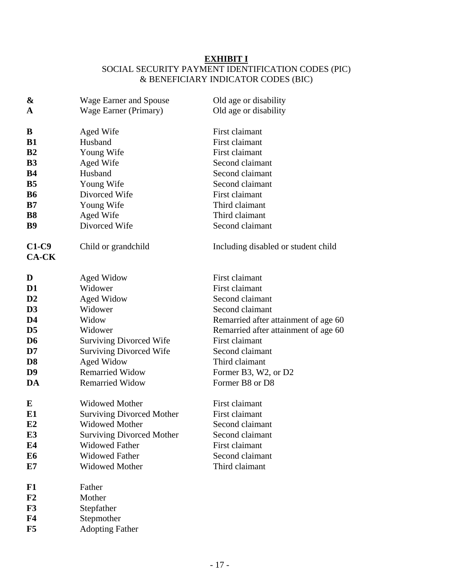#### **EXHIBIT I**

### SOCIAL SECURITY PAYMENT IDENTIFICATION CODES (PIC) & BENEFICIARY INDICATOR CODES (BIC)

| &                  | Wage Earner and Spouse           | Old age or disability                |  |
|--------------------|----------------------------------|--------------------------------------|--|
| A                  | Wage Earner (Primary)            | Old age or disability                |  |
|                    |                                  |                                      |  |
| B                  | Aged Wife                        | First claimant                       |  |
| <b>B1</b>          | Husband                          | First claimant                       |  |
| B <sub>2</sub>     | Young Wife                       | First claimant                       |  |
| <b>B3</b>          | Aged Wife                        | Second claimant                      |  |
| <b>B4</b>          | Husband                          | Second claimant                      |  |
| <b>B5</b>          | Young Wife                       | Second claimant                      |  |
| <b>B6</b>          | Divorced Wife                    | First claimant                       |  |
| B7                 | Young Wife                       | Third claimant                       |  |
| <b>B8</b>          | Aged Wife                        | Third claimant                       |  |
| <b>B9</b>          | Divorced Wife                    | Second claimant                      |  |
| $C1-C9$<br>$CA-CK$ | Child or grandchild              | Including disabled or student child  |  |
| D                  | Aged Widow                       | First claimant                       |  |
| D <sub>1</sub>     | Widower                          | First claimant                       |  |
| $\mathbf{D}2$      | <b>Aged Widow</b>                | Second claimant                      |  |
| D <sub>3</sub>     | Widower                          | Second claimant                      |  |
| D <sub>4</sub>     | Widow                            | Remarried after attainment of age 60 |  |
| D <sub>5</sub>     | Widower                          | Remarried after attainment of age 60 |  |
| D <sub>6</sub>     | <b>Surviving Divorced Wife</b>   | First claimant                       |  |
| D7                 | <b>Surviving Divorced Wife</b>   | Second claimant                      |  |
| D <sub>8</sub>     | Aged Widow                       | Third claimant                       |  |
| D <sub>9</sub>     | <b>Remarried Widow</b>           | Former B3, W2, or D2                 |  |
| DA                 | <b>Remarried Widow</b>           | Former B8 or D8                      |  |
| E                  | <b>Widowed Mother</b>            | First claimant                       |  |
| E1                 | <b>Surviving Divorced Mother</b> | First claimant                       |  |
| E2                 | Widowed Mother                   | Second claimant                      |  |
| E <sub>3</sub>     | <b>Surviving Divorced Mother</b> | Second claimant                      |  |
| E4                 | <b>Widowed Father</b>            | First claimant                       |  |
| E <sub>6</sub>     | <b>Widowed Father</b>            | Second claimant                      |  |
| E7                 | <b>Widowed Mother</b>            | Third claimant                       |  |
| F1                 | Father                           |                                      |  |
| F <sub>2</sub>     | Mother                           |                                      |  |
| F3                 | Stepfather                       |                                      |  |
| ${\bf F4}$         | Stepmother                       |                                      |  |
| F5                 | <b>Adopting Father</b>           |                                      |  |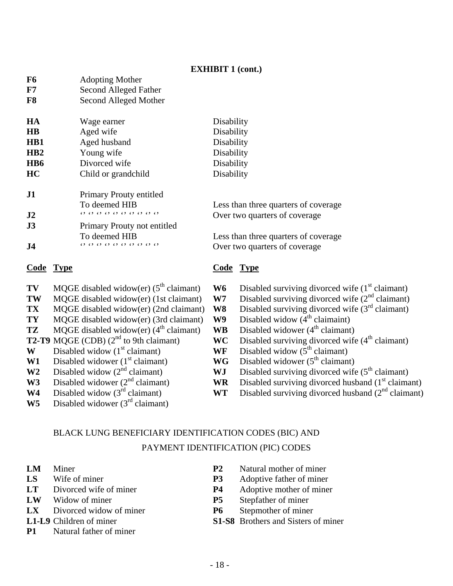#### **EXHIBIT 1 (cont.)**

| F7                     |                  | Second Alleged Father                           |                                                                                                                                                                                                                                                                                                                                                                                                                                                                                                                        |
|------------------------|------------------|-------------------------------------------------|------------------------------------------------------------------------------------------------------------------------------------------------------------------------------------------------------------------------------------------------------------------------------------------------------------------------------------------------------------------------------------------------------------------------------------------------------------------------------------------------------------------------|
| F <sub>8</sub>         |                  | Second Alleged Mother                           |                                                                                                                                                                                                                                                                                                                                                                                                                                                                                                                        |
| <b>HA</b>              |                  | Wage earner                                     | Disability                                                                                                                                                                                                                                                                                                                                                                                                                                                                                                             |
| $\mathbf{H}\mathbf{B}$ |                  | Aged wife                                       | Disability                                                                                                                                                                                                                                                                                                                                                                                                                                                                                                             |
| H <sub>B1</sub>        |                  | Aged husband                                    | Disability                                                                                                                                                                                                                                                                                                                                                                                                                                                                                                             |
| HB2                    |                  | Young wife                                      | Disability                                                                                                                                                                                                                                                                                                                                                                                                                                                                                                             |
| H <sub>B6</sub>        |                  | Divorced wife                                   | Disability                                                                                                                                                                                                                                                                                                                                                                                                                                                                                                             |
| HC                     |                  | Child or grandchild                             | Disability                                                                                                                                                                                                                                                                                                                                                                                                                                                                                                             |
| J1                     |                  | Primary Prouty entitled                         |                                                                                                                                                                                                                                                                                                                                                                                                                                                                                                                        |
|                        |                  | To deemed HIB                                   | Less than three quarters of coverage                                                                                                                                                                                                                                                                                                                                                                                                                                                                                   |
| J2                     |                  | $(3)$ $(3)$ $(3)$ $(3)$ $(3)$ $(3)$ $(3)$ $(3)$ | Over two quarters of coverage                                                                                                                                                                                                                                                                                                                                                                                                                                                                                          |
| J3                     |                  | Primary Prouty not entitled                     |                                                                                                                                                                                                                                                                                                                                                                                                                                                                                                                        |
|                        |                  | To deemed HIB                                   | Less than three quarters of coverage                                                                                                                                                                                                                                                                                                                                                                                                                                                                                   |
| J <sub>4</sub>         |                  | $(3)$ $(3)$ $(3)$ $(3)$ $(3)$ $(3)$ $(3)$ $(3)$ | Over two quarters of coverage                                                                                                                                                                                                                                                                                                                                                                                                                                                                                          |
|                        | <b>Code Type</b> |                                                 | <b>Code Type</b>                                                                                                                                                                                                                                                                                                                                                                                                                                                                                                       |
| <b>TIV 7</b>           |                  |                                                 | $\mathbf{X} \mathbf{X} \mathbf{Z} \mathbf{Z} = \mathbf{X} \mathbf{X} \mathbf{X} \mathbf{X} \mathbf{X} \mathbf{X} \mathbf{X} \mathbf{X} \mathbf{X} \mathbf{X} \mathbf{X} \mathbf{X} \mathbf{X} \mathbf{X} \mathbf{X} \mathbf{X} \mathbf{X} \mathbf{X} \mathbf{X} \mathbf{X} \mathbf{X} \mathbf{X} \mathbf{X} \mathbf{X} \mathbf{X} \mathbf{X} \mathbf{X} \mathbf{X} \mathbf{X} \mathbf{X} \mathbf{X} \mathbf{X} \mathbf$<br>$\sim$ $\sim$ $\sim$ $\sim$ $\sim$ $\sim$<br>$\cdot$ $\cdot$<br>$\sim$ $\sim$ $\sim$ $\sim$ |

- 
- 
- 
- **TY** MQGE disabled widow(er) (3rd claimant) **W9** Disabled widow ( $4^{\text{th}}$  claimaint) **TZ** MQGE disabled widow(er) ( $4^{\text{th}}$  claimant) **WB** Disabled widower ( $4^{\text{th}}$  claimant)
- **TZ** MQGE disabled widow(er)  $(4^{\text{th}} \text{ claimant})$  **WB**<br>**T2-T9** MQGE (CDB)  $(2^{\text{nd}} \text{ to 9th claimant})$  **WC**
- **W** Disabled widow ( $1^{st}$  claimant) **WF** Disabled widow ( $5^{th}$  claimant)

**F6** Adopting Mother

- 
- 
- 
- 
- W5 Disabled widower (3<sup>rd</sup> claimant)
- **TV** MQGE disabled widow(er) ( $5<sup>th</sup>$  claimant) **W6** Disabled surviving divorced wife ( $1<sup>st</sup>$  claimant)
- **TW** MQGE disabled widow(er) (1st claimant) **W7** Disabled surviving divorced wife (2<sup>nd</sup> claimant)
- **TX** MQGE disabled widow(er) (2nd claimant) **W8** Disabled surviving divorced wife (3<sup>rd</sup> claimant)<br>**TY** MOGE disabled widow(er) (3rd claimant) **W9** Disabled widow (4<sup>th</sup> claimaint)
	-
	-
	- **WC** Disabled surviving divorced wife (4<sup>th</sup> claimant)
	-
- **W1** Disabled widower (1<sup>st</sup> claimant) **WG** Disabled widower (5<sup>th</sup> claimant) **W3** Disabled surviving divorced wife
	-
- **W2** Disabled widow (2<sup>nd</sup> claimant) **WJ** Disabled surviving divorced wife (5<sup>th</sup> claimant) **WR** Disabled surviving divorced husband (1<sup>st</sup> claimant)
- **W3** Disabled widower ( $2^{nd}$  claimant) **WR** Disabled surviving divorced husband ( $1^{st}$  claimant) **WT** Disabled surviving divorced husband ( $2^{nd}$  claimant) **W4** Disabled widow  $(3^{rd}$  claimant) **WT** Disabled surviving divorced husband  $(2^{nd}$  claimant)

### BLACK LUNG BENEFICIARY IDENTIFICATION CODES (BIC) AND PAYMENT IDENTIFICATION (PIC) CODES

- 
- 
- 
- 
- 
- 
- **P1** Natural father of miner
- **LM** Miner **P2** Natural mother of miner
- **LS** Wife of miner **P3** Adoptive father of miner
- **LT** Divorced wife of miner **P4** Adoptive mother of miner
- **LW** Widow of miner **P5** Stepfather of miner
- **LX** Divorced widow of miner **P6** Stepmother of miner
- **L1-L9** Children of miner **S1-S8** Brothers and Sisters of miner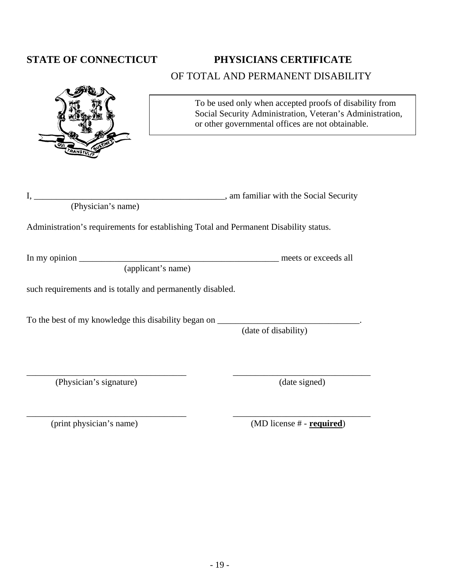### STATE OF CONNECTICUT PHYSICIANS CERTIFICATE OF TOTAL AND PERMANENT DISABILITY

|                                                                                  | To be used only when accepted proofs of disability from<br>Social Security Administration, Veteran's Administration,<br>or other governmental offices are not obtainable. |
|----------------------------------------------------------------------------------|---------------------------------------------------------------------------------------------------------------------------------------------------------------------------|
| I,                                                                               | am familiar with the Social Security                                                                                                                                      |
| (Physician's name)                                                               |                                                                                                                                                                           |
|                                                                                  | Administration's requirements for establishing Total and Permanent Disability status.                                                                                     |
|                                                                                  |                                                                                                                                                                           |
| (applicant's name)                                                               |                                                                                                                                                                           |
| such requirements and is totally and permanently disabled.                       |                                                                                                                                                                           |
| To the best of my knowledge this disability began on ___________________________ | (date of disability)                                                                                                                                                      |
| (Physician's signature)                                                          | (date signed)                                                                                                                                                             |

\_\_\_\_\_\_\_\_\_\_\_\_\_\_\_\_\_\_\_\_\_\_\_\_\_\_\_\_\_\_\_\_\_\_\_\_ \_\_\_\_\_\_\_\_\_\_\_\_\_\_\_\_\_\_\_\_\_\_\_\_\_\_\_\_\_\_\_

(print physician's name) (MD license # - **<u>required</u>**)